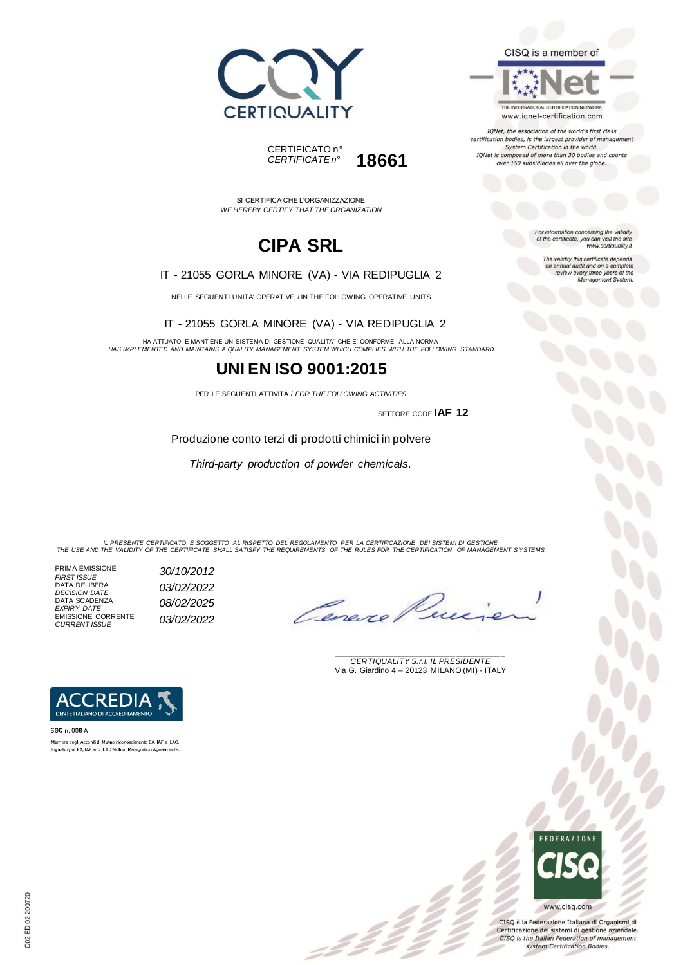



SI CERTIFICA CHE L'ORGANIZZAZIONE *WE HEREBY CERTIFY THAT THE ORGANIZATION*

# **CIPA SRL**

#### IT - 21055 GORLA MINORE (VA) - VIA REDIPUGLIA 2

NELLE SEGUENTI UNITA' OPERATIVE / IN THE FOLLOWING OPERATIVE UNITS

IT - 21055 GORLA MINORE (VA) - VIA REDIPUGLIA 2

HA ATTUATO E MANTIENE UN SISTEMA DI GESTIONE QUALITA' CHE E' CONFORME ALLA NORMA *HAS IMPLEMENTED AND MAINTAINS A QUALITY MANAGEMENT SYSTEM WHICH COMPLIES WITH THE FOLLOWING STANDARD*

### **UNI EN ISO 9001:2015**

PER LE SEGUENTI ATTIVITÀ / *FOR THE FOLLOWING ACTIVITIES*

SETTORE CODE **IAF 12**

Produzione conto terzi di prodotti chimici in polvere

*Third-party production of powder chemicals.*

IL PRESENTE CERTIFICATO E SOGGETTO AL RISPETTO DEL REGOLAMENTO PER LA CERTIFICAZIONE DEI SISTEMI DI GESTIONE<br>THE USE AND THE VALIDITY OF THE CERTIFICATE SHALL SATISFY THE REQUIREMENTS OF THE RULES FOR THE CERTIFICATION OF

z 2 2

PRIMA EMISSIONE *FIRST ISSUE 30/10/2012* DATA DELIBERA *DECISION DATE 03/02/2022* DATA SCADENZA *EXPIRY DATE 08/02/2025* EMISSIONE CORRENTE *CURRENT ISSUE 03/02/2022*

Lene

\_\_\_\_\_\_\_\_\_\_\_\_\_\_\_\_\_\_\_\_\_\_\_\_\_\_\_\_\_\_\_\_\_\_\_\_\_\_\_ *CERTIQUALITY S.r.l. IL PRESIDENTE* Via G. Giardino 4 – 20123 MILANO (MI) - ITALY



SGQ n. 008 A Membro degli Accordi di Mutuo riconoscimento EA. IAF e ILAC. Signatory of EA, IAF and ILAC Mutual Recognition Agreements



CISQ è la Federazione Italiana di Organismi di Certificazione dei sistemi di gestione aziendale. CISQ is the Italian Federation of management system Certification Bodies.

CISQ is a member of

THE INTERNATIONAL CERTIFICATION NETWORK www.iqnet-certification.com

IQNet, the association of the world's first class certification bodies, is the largest provider of management System Certification in the world.<br>IQNet is composed of more than 30 bodies and counts over 150 subsidiaries all over the globe.

For information concerning the validity<br>of the certificate, you can visit the site<br>www.certiquality.it

The validity this certificate depends<br>on annual audit and on a complete<br>review every three years of the<br>Management System.